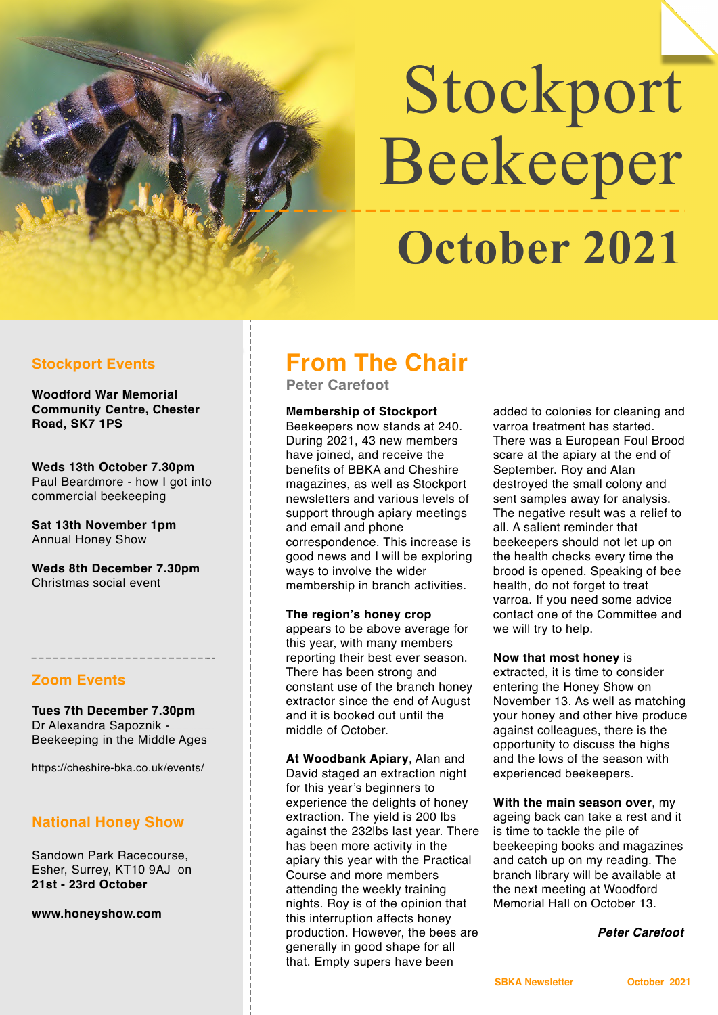# Stockport Beekeeper  **October 2021**

## **Stockport Events**

**Woodford War Memorial Community Centre, Chester Road, SK7 1PS** 

**Weds 13th October 7.30pm** Paul Beardmore - how I got into commercial beekeeping

**Sat 13th November 1pm** Annual Honey Show

**Weds 8th December 7.30pm** Christmas social event

## **Zoom Events**

**Tues 7th December 7.30pm** Dr Alexandra Sapoznik - Beekeeping in the Middle Ages

https://cheshire-bka.co.uk/events/

# **National Honey Show**

Sandown Park Racecourse, Esher, Surrey, KT10 9AJ on **21st - 23rd October**

**[www.honeyshow.com](http://www.honeyshow.com/)**

# **From The Chair**

**Peter Carefoot** 

**Membership of Stockport** Beekeepers now stands at 240. During 2021, 43 new members have joined, and receive the benefits of BBKA and Cheshire magazines, as well as Stockport newsletters and various levels of support through apiary meetings and email and phone correspondence. This increase is good news and I will be exploring ways to involve the wider membership in branch activities.

#### **The region's honey crop**

appears to be above average for this year, with many members reporting their best ever season. There has been strong and constant use of the branch honey extractor since the end of August and it is booked out until the middle of October.

**At Woodbank Apiary**, Alan and David staged an extraction night for this year's beginners to experience the delights of honey extraction. The yield is 200 lbs against the 232lbs last year. There has been more activity in the apiary this year with the Practical Course and more members attending the weekly training nights. Roy is of the opinion that this interruption affects honey production. However, the bees are generally in good shape for all that. Empty supers have been

added to colonies for cleaning and varroa treatment has started. There was a European Foul Brood scare at the apiary at the end of September. Roy and Alan destroyed the small colony and sent samples away for analysis. The negative result was a relief to all. A salient reminder that beekeepers should not let up on the health checks every time the brood is opened. Speaking of bee health, do not forget to treat varroa. If you need some advice contact one of the Committee and we will try to help.

**Now that most honey** is extracted, it is time to consider entering the Honey Show on November 13. As well as matching your honey and other hive produce against colleagues, there is the opportunity to discuss the highs and the lows of the season with experienced beekeepers.

**With the main season over**, my ageing back can take a rest and it is time to tackle the pile of beekeeping books and magazines and catch up on my reading. The branch library will be available at the next meeting at Woodford Memorial Hall on October 13.

### *Peter Carefoot*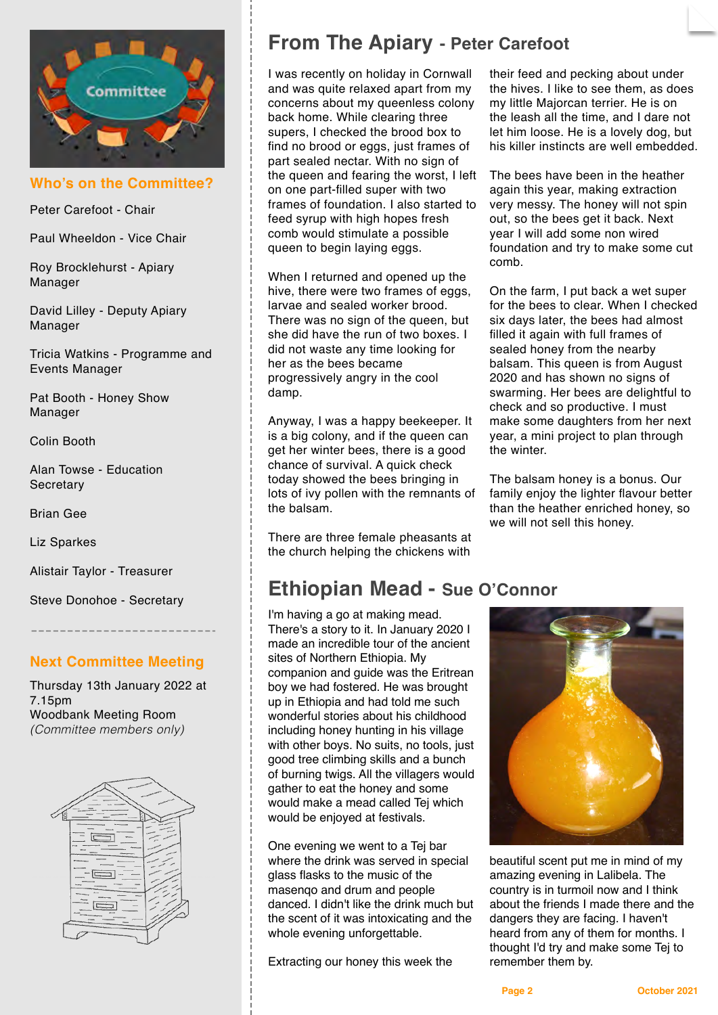

**Who's on the Committee?**

Peter Carefoot - Chair

Paul Wheeldon - Vice Chair

Roy Brocklehurst - Apiary Manager

David Lilley - Deputy Apiary Manager

Tricia Watkins - Programme and Events Manager

Pat Booth - Honey Show Manager

Colin Booth

Alan Towse - Education **Secretary** 

Brian Gee

Liz Sparkes

Alistair Taylor - Treasurer

Steve Donohoe - Secretary

## **Next Committee Meeting**

Thursday 13th January 2022 at 7.15pm Woodbank Meeting Room *(Committee members only)*



# **From The Apiary - Peter Carefoot**

I was recently on holiday in Cornwall and was quite relaxed apart from my concerns about my queenless colony back home. While clearing three supers, I checked the brood box to find no brood or eggs, just frames of part sealed nectar. With no sign of the queen and fearing the worst, I left on one part-filled super with two frames of foundation. I also started to feed syrup with high hopes fresh comb would stimulate a possible queen to begin laying eggs.

When I returned and opened up the hive, there were two frames of eggs, larvae and sealed worker brood. There was no sign of the queen, but she did have the run of two boxes. I did not waste any time looking for her as the bees became progressively angry in the cool damp.

Anyway, I was a happy beekeeper. It is a big colony, and if the queen can get her winter bees, there is a good chance of survival. A quick check today showed the bees bringing in lots of ivy pollen with the remnants of the balsam.

There are three female pheasants at the church helping the chickens with

# **Ethiopian Mead - Sue O'Connor**

I'm having a go at making mead. There's a story to it. In January 2020 I made an incredible tour of the ancient sites of Northern Ethiopia. My companion and guide was the Eritrean boy we had fostered. He was brought up in Ethiopia and had told me such wonderful stories about his childhood including honey hunting in his village with other boys. No suits, no tools, just good tree climbing skills and a bunch of burning twigs. All the villagers would gather to eat the honey and some would make a mead called Tej which would be enjoyed at festivals.

One evening we went to a Tej bar where the drink was served in special glass flasks to the music of the masenqo and drum and people danced. I didn't like the drink much but the scent of it was intoxicating and the whole evening unforgettable.

Extracting our honey this week the

their feed and pecking about under the hives. I like to see them, as does my little Majorcan terrier. He is on the leash all the time, and I dare not let him loose. He is a lovely dog, but his killer instincts are well embedded.

The bees have been in the heather again this year, making extraction very messy. The honey will not spin out, so the bees get it back. Next year I will add some non wired foundation and try to make some cut comb.

On the farm, I put back a wet super for the bees to clear. When I checked six days later, the bees had almost filled it again with full frames of sealed honey from the nearby balsam. This queen is from August 2020 and has shown no signs of swarming. Her bees are delightful to check and so productive. I must make some daughters from her next year, a mini project to plan through the winter.

The balsam honey is a bonus. Our family enjoy the lighter flavour better than the heather enriched honey, so we will not sell this honey.



beautiful scent put me in mind of my amazing evening in Lalibela. The country is in turmoil now and I think about the friends I made there and the dangers they are facing. I haven't heard from any of them for months. I thought I'd try and make some Tej to remember them by.